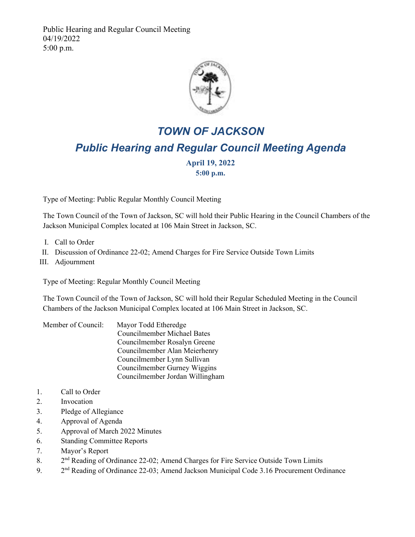Public Hearing and Regular Council Meeting 04/19/2022 5:00 p.m.



## *TOWN OF JACKSON Public Hearing and Regular Council Meeting Agenda*

**April 19, 2022** 

**5:00 p.m.**

Type of Meeting: Public Regular Monthly Council Meeting

The Town Council of the Town of Jackson, SC will hold their Public Hearing in the Council Chambers of the Jackson Municipal Complex located at 106 Main Street in Jackson, SC.

- I. Call to Order
- II. Discussion of Ordinance 22-02; Amend Charges for Fire Service Outside Town Limits
- III. Adjournment

Type of Meeting: Regular Monthly Council Meeting

The Town Council of the Town of Jackson, SC will hold their Regular Scheduled Meeting in the Council Chambers of the Jackson Municipal Complex located at 106 Main Street in Jackson, SC.

| Member of Council: | Mayor Todd Etheredge               |
|--------------------|------------------------------------|
|                    | <b>Councilmember Michael Bates</b> |
|                    | Councilmember Rosalyn Greene       |
|                    | Councilmember Alan Meierhenry      |
|                    | Councilmember Lynn Sullivan        |
|                    | Councilmember Gurney Wiggins       |
|                    | Councilmember Jordan Willingham    |

- 1. Call to Order
- 2. Invocation
- 3. Pledge of Allegiance
- 4. Approval of Agenda
- 5. Approval of March 2022 Minutes
- 6. Standing Committee Reports
- 7. Mayor's Report
- 8. 2<sup>nd</sup> Reading of Ordinance 22-02; Amend Charges for Fire Service Outside Town Limits
- 9. 2<sup>nd</sup> Reading of Ordinance 22-03; Amend Jackson Municipal Code 3.16 Procurement Ordinance